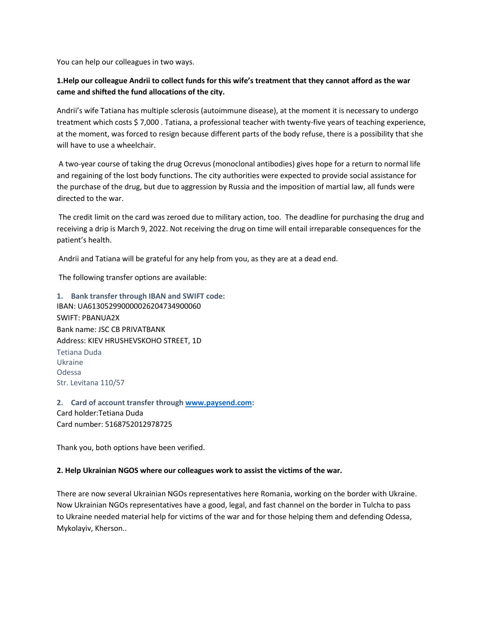You can help our colleagues in two ways.

# **1.Help our colleague Andrii to collect funds for this wife's treatment that they cannot afford as the war came and shifted the fund allocations of the city.**

Andrii's wife Tatiana has multiple sclerosis (autoimmune disease), at the moment it is necessary to undergo treatment which costs \$ 7,000 . Tatiana, a professional teacher with twenty-five years of teaching experience, at the moment, was forced to resign because different parts of the body refuse, there is a possibility that she will have to use a wheelchair.

A two-year course of taking the drug Ocrevus (monoclonal antibodies) gives hope for a return to normal life and regaining of the lost body functions. The city authorities were expected to provide social assistance for the purchase of the drug, but due to aggression by Russia and the imposition of martial law, all funds were directed to the war.

The credit limit on the card was zeroed due to military action, too. The deadline for purchasing the drug and receiving a drip is March 9, 2022. Not receiving the drug on time will entail irreparable consequences for the patient's health.

Andrii and Tatiana will be grateful for any help from you, as they are at a dead end.

The following transfer options are available:

**1. Bank transfer through IBAN and SWIFT code:** IBAN: UA613052990000026204734900060 SWIFT: PBANUA2X Bank name: JSC CB PRIVATBANK Address: KIEV HRUSHEVSKOHO STREET, 1D Tetiana Duda Ukraine Odessa Str. Levitana 110/57

**2. Card of account transfer through [www.paysend.com:](http://www.paysend.com/)** Card holder:Tetiana Duda Card number: 5168752012978725

Thank you, both options have been verified.

#### **2. Help Ukrainian NGOS where our colleagues work to assist the victims of the war.**

There are now several Ukrainian NGOs representatives here Romania, working on the border with Ukraine. Now Ukrainian NGOs representatives have a good, legal, and fast channel on the border in Tulcha to pass to Ukraine needed material help for victims of the war and for those helping them and defending Odessa, Mykolayiv, Kherson..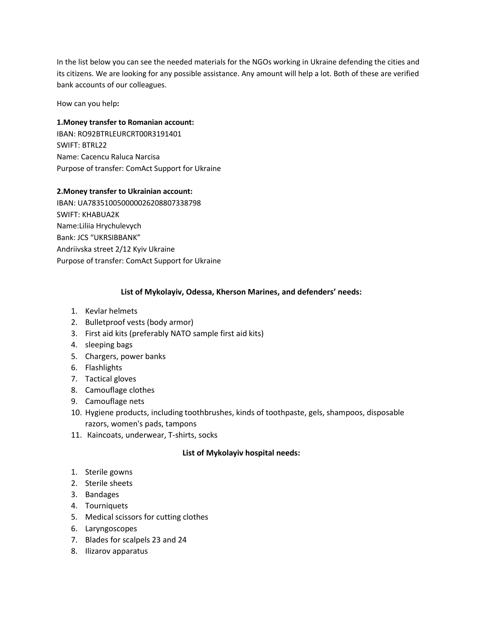In the list below you can see the needed materials for the NGOs working in Ukraine defending the cities and its citizens. We are looking for any possible assistance. Any amount will help a lot. Both of these are verified bank accounts of our colleagues.

How can you help**:**

### **1.Money transfer to Romanian account:**

IBAN: RO92BTRLEURCRT00R3191401 SWIFT: BTRL22 Name: Cacencu Raluca Narcisa Purpose of transfer: ComAct Support for Ukraine

### **2.Money transfer to Ukrainian account:**

IBAN: UA783510050000026208807338798 SWIFT: KHABUA2K Name:Liliia Hrychulevych Bank: JCS "UKRSIBBANK" Andriivska street 2/12 Kyiv Ukraine Purpose of transfer: ComAct Support for Ukraine

### **List of Mykolayiv, Odessa, Kherson Marines, and defenders' needs:**

- 1. Kevlar helmets
- 2. Bulletproof vests (body armor)
- 3. First aid kits (preferably NATO sample first aid kits)
- 4. sleeping bags
- 5. Сhargers, power banks
- 6. Flashlights
- 7. Tactical gloves
- 8. Camouflage clothes
- 9. Camouflage nets
- 10. Hygiene products, including toothbrushes, kinds of toothpaste, gels, shampoos, disposable razors, women's pads, tampons
- 11. Кaincoats, underwear, T-shirts, socks

### **List of Mykolayiv hospital needs:**

- 1. Sterile gowns
- 2. Sterile sheets
- 3. Bandages
- 4. Tourniquets
- 5. Medical scissors for cutting clothes
- 6. Laryngoscopes
- 7. Blades for scalpels 23 and 24
- 8. Ilizarov apparatus